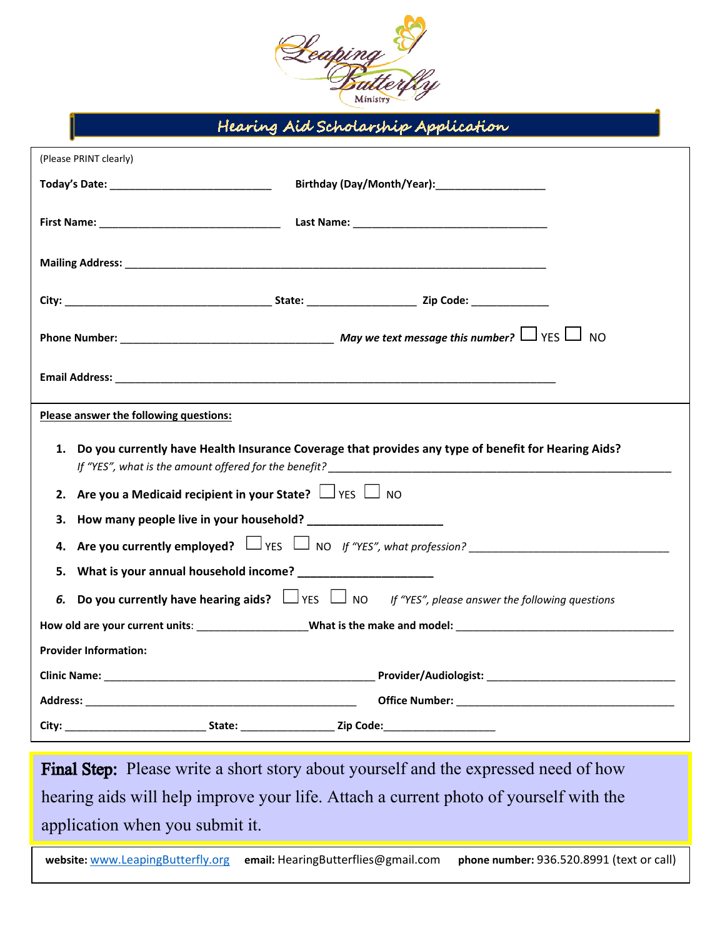

Hearing Aid Scholarship Application

| (Please PRINT clearly)                                                                                         |                                                                                                                 |  |
|----------------------------------------------------------------------------------------------------------------|-----------------------------------------------------------------------------------------------------------------|--|
|                                                                                                                | Birthday (Day/Month/Year): Marketing and the settlement of the settlement of the settlement of the settlement o |  |
|                                                                                                                |                                                                                                                 |  |
|                                                                                                                |                                                                                                                 |  |
|                                                                                                                |                                                                                                                 |  |
|                                                                                                                |                                                                                                                 |  |
|                                                                                                                |                                                                                                                 |  |
| Please answer the following questions:                                                                         |                                                                                                                 |  |
| 1. Do you currently have Health Insurance Coverage that provides any type of benefit for Hearing Aids?         |                                                                                                                 |  |
| 2. Are you a Medicaid recipient in your State? $\Box$ YES $\Box$ NO                                            |                                                                                                                 |  |
| 3.                                                                                                             |                                                                                                                 |  |
| <b>Are you currently employed?</b> $\Box$ YES $\Box$ NO If "YES", what profession?<br>4.                       |                                                                                                                 |  |
| What is your annual household income?<br><u> </u><br>5.                                                        |                                                                                                                 |  |
| 6. Do you currently have hearing aids? $\Box$ YES $\Box$ NO If "YES", please answer the following questions    |                                                                                                                 |  |
| How old are your current units: ___________________What is the make and model: _______________________________ |                                                                                                                 |  |
| <b>Provider Information:</b>                                                                                   |                                                                                                                 |  |
|                                                                                                                |                                                                                                                 |  |
|                                                                                                                |                                                                                                                 |  |
|                                                                                                                |                                                                                                                 |  |

Final Step: Please write a short story about yourself and the expressed need of how hearing aids will help improve your life. Attach a current photo of yourself with the application when you submit it.

**website:** [www.LeapingButterfly.org](about:blank) **email:** HearingButterflies@gmail.com **phone number:** 936.520.8991 (text or call)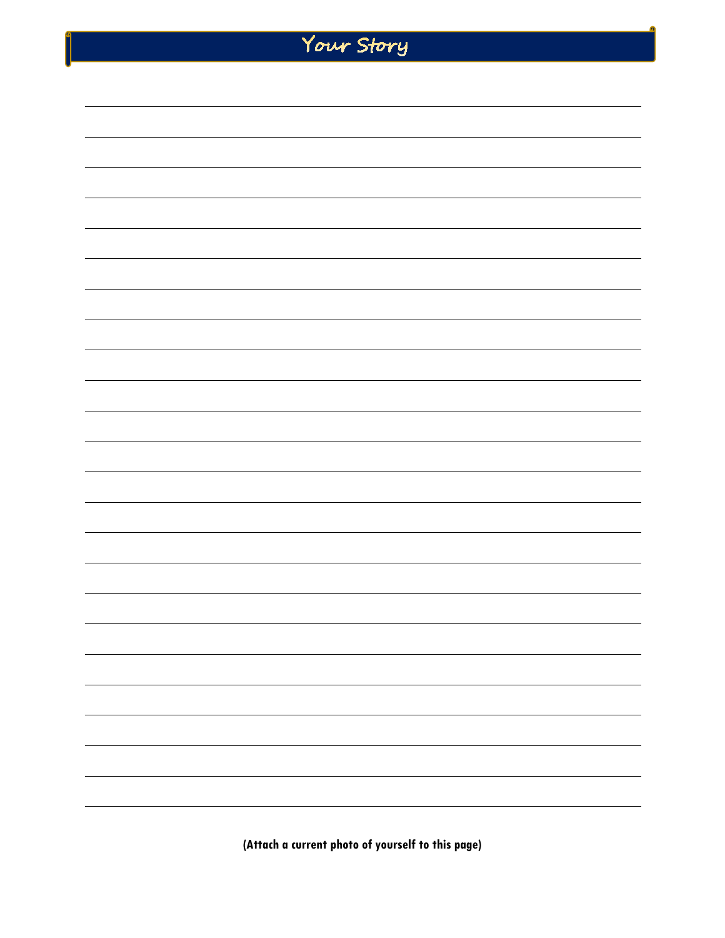| Your Story               |
|--------------------------|
|                          |
|                          |
|                          |
|                          |
|                          |
|                          |
|                          |
|                          |
|                          |
|                          |
|                          |
|                          |
|                          |
|                          |
|                          |
|                          |
| ÷                        |
|                          |
|                          |
|                          |
|                          |
|                          |
|                          |
| $\overline{\phantom{0}}$ |

 $\int_0^a$ 

**(Attach a current photo of yourself to this page)**